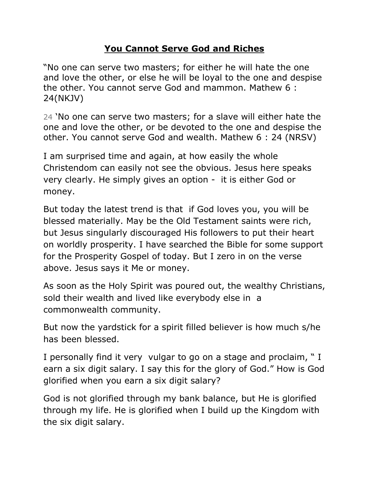## **You Cannot Serve God and Riches**

"No one can serve two masters; for either he will hate the one and love the other, or else he will be loyal to the one and despise the other. You cannot serve God and mammon. Mathew 6 : 24(NKJV)

24 "No one can serve two masters; for a slave will either hate the one and love the other, or be devoted to the one and despise the other. You cannot serve God and wealth. Mathew 6 : 24 (NRSV)

I am surprised time and again, at how easily the whole Christendom can easily not see the obvious. Jesus here speaks very clearly. He simply gives an option - it is either God or money.

But today the latest trend is that if God loves you, you will be blessed materially. May be the Old Testament saints were rich, but Jesus singularly discouraged His followers to put their heart on worldly prosperity. I have searched the Bible for some support for the Prosperity Gospel of today. But I zero in on the verse above. Jesus says it Me or money.

As soon as the Holy Spirit was poured out, the wealthy Christians, sold their wealth and lived like everybody else in a commonwealth community.

But now the yardstick for a spirit filled believer is how much s/he has been blessed.

I personally find it very vulgar to go on a stage and proclaim, " I earn a six digit salary. I say this for the glory of God." How is God glorified when you earn a six digit salary?

God is not glorified through my bank balance, but He is glorified through my life. He is glorified when I build up the Kingdom with the six digit salary.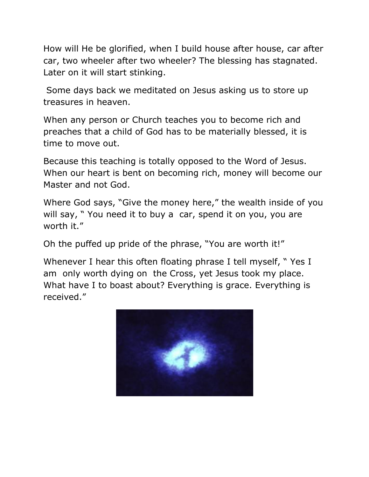How will He be glorified, when I build house after house, car after car, two wheeler after two wheeler? The blessing has stagnated. Later on it will start stinking.

Some days back we meditated on Jesus asking us to store up treasures in heaven.

When any person or Church teaches you to become rich and preaches that a child of God has to be materially blessed, it is time to move out.

Because this teaching is totally opposed to the Word of Jesus. When our heart is bent on becoming rich, money will become our Master and not God.

Where God says, "Give the money here," the wealth inside of you will say, "You need it to buy a car, spend it on you, you are worth it."

Oh the puffed up pride of the phrase, "You are worth it!"

Whenever I hear this often floating phrase I tell myself, " Yes I am only worth dying on the Cross, yet Jesus took my place. What have I to boast about? Everything is grace. Everything is received."